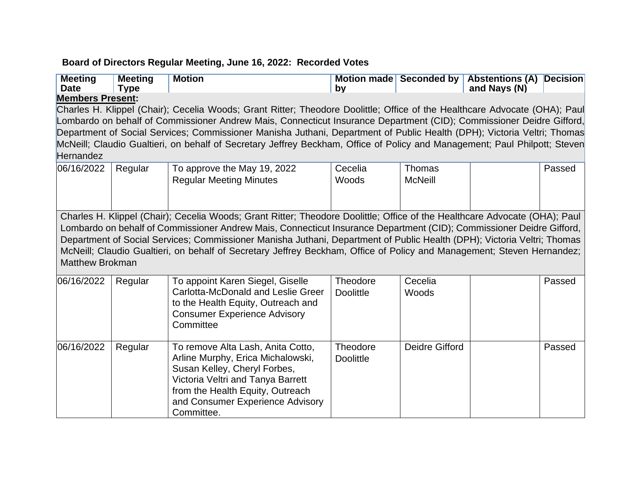## **Board of Directors Regular Meeting, June 16, 2022: Recorded Votes**

| <b>Meeting</b><br><b>Date</b>               | <b>Meeting</b><br><b>Type</b> | <b>Motion</b>                                                                                                                                                                                                                                                                                                                                                                                                                                                                                               | bv                           |                          | Motion made Seconded by Abstentions (A)<br>and Nays (N) | Decision |
|---------------------------------------------|-------------------------------|-------------------------------------------------------------------------------------------------------------------------------------------------------------------------------------------------------------------------------------------------------------------------------------------------------------------------------------------------------------------------------------------------------------------------------------------------------------------------------------------------------------|------------------------------|--------------------------|---------------------------------------------------------|----------|
| <b>Members Present:</b><br><b>Hernandez</b> |                               | Charles H. Klippel (Chair); Cecelia Woods; Grant Ritter; Theodore Doolittle; Office of the Healthcare Advocate (OHA); Paul<br>Lombardo on behalf of Commissioner Andrew Mais, Connecticut Insurance Department (CID); Commissioner Deidre Gifford,<br>Department of Social Services; Commissioner Manisha Juthani, Department of Public Health (DPH); Victoria Veltri; Thomas<br>McNeill; Claudio Gualtieri, on behalf of Secretary Jeffrey Beckham, Office of Policy and Management; Paul Philpott; Steven |                              |                          |                                                         |          |
| 06/16/2022                                  | Regular                       | To approve the May 19, 2022<br><b>Regular Meeting Minutes</b>                                                                                                                                                                                                                                                                                                                                                                                                                                               | Cecelia<br>Woods             | Thomas<br><b>McNeill</b> |                                                         | Passed   |
| <b>Matthew Brokman</b>                      |                               | Charles H. Klippel (Chair); Cecelia Woods; Grant Ritter; Theodore Doolittle; Office of the Healthcare Advocate (OHA); Paul<br>Lombardo on behalf of Commissioner Andrew Mais, Connecticut Insurance Department (CID); Commissioner Deidre Gifford,<br>Department of Social Services; Commissioner Manisha Juthani, Department of Public Health (DPH); Victoria Veltri; Thomas<br>McNeill; Claudio Gualtieri, on behalf of Secretary Jeffrey Beckham, Office of Policy and Management; Steven Hernandez;     |                              |                          |                                                         |          |
| 06/16/2022                                  | Regular                       | To appoint Karen Siegel, Giselle<br><b>Carlotta-McDonald and Leslie Greer</b><br>to the Health Equity, Outreach and<br><b>Consumer Experience Advisory</b><br>Committee                                                                                                                                                                                                                                                                                                                                     | Theodore<br><b>Doolittle</b> | Cecelia<br>Woods         |                                                         | Passed   |
| 06/16/2022                                  | Regular                       | To remove Alta Lash, Anita Cotto,<br>Arline Murphy, Erica Michalowski,<br>Susan Kelley, Cheryl Forbes,<br>Victoria Veltri and Tanya Barrett<br>from the Health Equity, Outreach<br>and Consumer Experience Advisory<br>Committee.                                                                                                                                                                                                                                                                           | Theodore<br><b>Doolittle</b> | <b>Deidre Gifford</b>    |                                                         | Passed   |